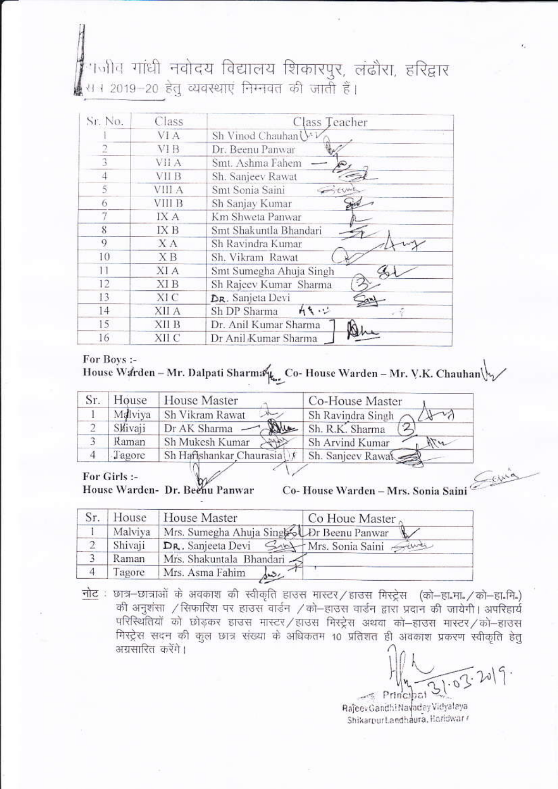# ।<br>पत्नीव गांधी नवोदय विद्यालय शिकारपुर, लंढौरा, हरिद्वार स । 2019–20 हेत् व्यवस्थाएं निम्नवत की जाती हैं।

| Sr. No.        | Class        | Class Teacher                  |
|----------------|--------------|--------------------------------|
|                | VI A         | Sh Vinod Chauhan $\forall \nu$ |
| $\overline{2}$ | <b>VIB</b>   | Dr. Beenu Panwar               |
| 3              | VII A        | Smt. Ashma Fahem               |
| 4              | <b>VII B</b> | Sh. Sanjeev Rawat              |
| 5              | VIII A       | Smt Sonia Saini                |
| 6              | VIII B       | Sh Sanjay Kumar                |
|                | IX A         | Km Shweta Panwar               |
| 8              | IX B         | Smt Shakuntla Bhandari         |
| 9              | $X \Lambda$  | Sh Ravindra Kumar              |
| 10             | <b>XB</b>    | Sh. Vikram Rawat               |
| 11             | XI A         | Smt Sumegha Ahuja Singh        |
| 12             | <b>XIB</b>   | Sh Rajeev Kumar Sharma         |
| 13             | XI C         | DR. Sanjeta Devi               |
| 14             | XII A        | カキュン<br>Sh DP Sharma           |
| 15             | XII B        | Dr. Anil Kumar Sharma          |
| 16             | XII C        | Dr Anil Kumar Sharma           |

#### For Boys :-

House Warden - Mr. Dalpati Sharma L. Co- House Warden - Mr. V.K. Chauhan

| $S_{T}$ | House   | House Master             | Co-House Master            |
|---------|---------|--------------------------|----------------------------|
|         | Mdlviya | Sh Vikram Rawat          | Sh Ravindra Singh          |
|         | Slivaji | Que<br>Dr AK Sharma      | Sh. R.K. Sharma            |
|         | Raman   | Sh Mukesh Kumar          | Sh Arvind Kumar<br>$\pi u$ |
|         | Tagore  | Sh Hafishankar Chaurasia | Sh. Sanjeev Rawa           |

For Girls :-House Warden- Dr. Beenu Panwar

Co-House Warden - Mrs. Sonia Saini

|                |         | House House Master                         | Co Houe Master |
|----------------|---------|--------------------------------------------|----------------|
|                | Malviya | Mrs. Sumegha Ahuja Singhol Dr Beenu Panwar |                |
|                | Shivaji | DR. Sanjeeta Devi Sunt Mrs. Sonia Saini    |                |
|                | Raman   | Mrs. Shakuntala Bhandari                   |                |
| $\overline{4}$ | Tagore  | Mrs. Asma Fahim                            |                |

नोट : छात्र-छात्राओं के अवकाश की स्वीकृति हाउस मास्टर/हाउस मिस्ट्रेस (को-हा.मा./को-हा.मि.) की अनुशंसा / सिफारिश पर हाउस वार्डन / को-हाउस वार्डन द्वारा प्रदान की जायेगी। अपरिहार्य परिस्थितियों को छोड़कर हाउस मास्टर/हाउस मिस्ट्रेस अथवा को-हाउस मास्टर/को-हाउस गिरट्रेस सदन की कुल छात्र संख्या के अधिकतम 10 प्रतिशत ही अवकाश प्रकरण स्वीकृति हेत् अग्रसारित करेंगे।

 $21.03.2019.$  $\sim$  Principal

Rajeev Gandhi Navoday Vidyalaya Shikarpur Landhaura, Haridwar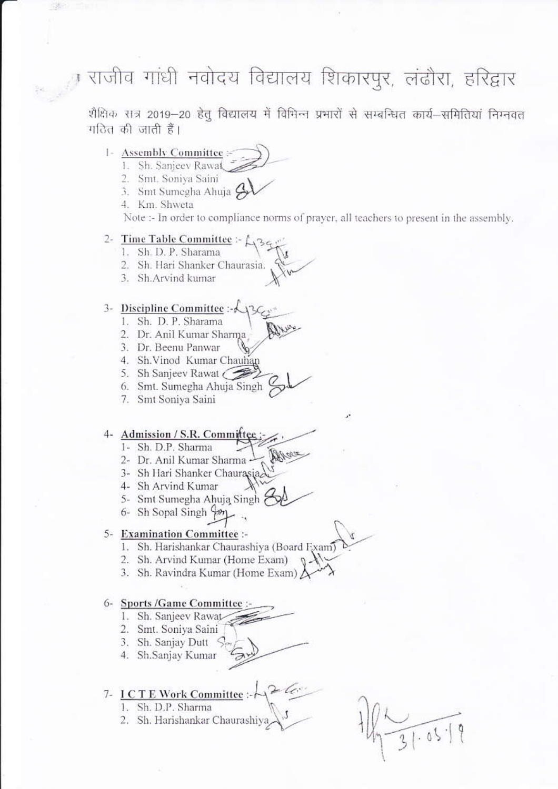ा राजीव गांधी नवोदय विद्यालय शिकारपुर, लंढौरा, हरिद्वार

शैक्षिक सत्र 2019-20 हेतू विद्यालय में विभिन्न प्रभारों से सम्बन्धित कार्य-समितियां निम्नवत गठित की जाती हैं।

#### 1- Assembly Committee

- 1. Sh. Sanjeev Rawat
- 2. Smt. Soniya Saini
- 3. Smt Sumegha Ahuja A
- 4. Km. Shweta

Note :- In order to compliance norms of prayer, all teachers to present in the assembly.

#### 2- Time Table Committee :-  $\mathcal{L}_{36}$

- 1. Sh. D. P. Sharama
- 2. Sh. Hari Shanker Chaurasia.
- 3. Sh.Arvind kumar

#### 3- Discipline Committee :- < 130

- 1. Sh. D. P. Sharama
- 2. Dr. Anil Kumar Sharma
- 3. Dr. Beenu Panwar
- 4. Sh. Vinod Kumar Chauhan
- 5. Sh Sanjeev Rawat (
- 6. Smt. Sumegha Ahuja Singh
- 7. Smt Soniya Saini

#### 4- Admission / S.R. Committee

- 1- Sh. D.P. Sharma
- 2- Dr. Anil Kumar Sharma
- 3- Sh Hari Shanker Chaurasia
- 4- Sh Arvind Kumar
- 5- Smt Sumegha Ahuja Singh
- 6- Sh Sopal Singh Yon

#### 5- Examination Committee :-

1. Sh. Harishankar Chaurashiya (Board Exam)

Mara

- 2. Sh. Arvind Kumar (Home Exam)
- 3. Sh. Ravindra Kumar (Home Exam)

### 6- Sports /Game Committee :-

- 1. Sh. Sanjeev Rawat
- 2. Smt. Soniya Saini
- 3. Sh. Sanjay Dutt  $\leq$
- 4. Sh.Sanjay Kumar

## 7- ICTE Work Committee :-

- 1. Sh. D.P. Sharma
- 2. Sh. Harishankar Chaurashiya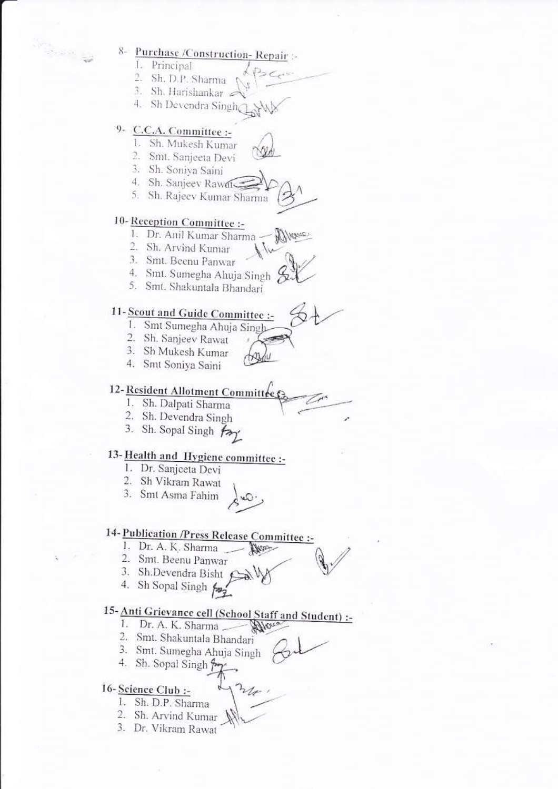8- Purchase /Construction-Repair :-

- 1. Principal
- 2. Sh. D.P. Sharma
- 3. Sh. Harishankar

4. Sh Devendra Singh

# 9- C.C.A. Committee :-

- 1. Sh. Mukesh Kumar
- 2. Smt. Sanjeeta Devi
- 3. Sh. Soniya Saini
- 4. Sh. Sanjeev Rawat
- 5. Sh. Rajeev Kumar Sharma

# 10-Reception Committee :-

- 1. Dr. Anil Kumar Sharma -Marie
- 2. Sh. Arvind Kumar
- 3. Smt. Beenu Panwar
- 4. Smt. Sumegha Ahuja Singh
- 5. Smt. Shakuntala Bhandari

# 11- Scout and Guide Committee :-

- 1. Smt Sumegha Ahuja Singh
- 2. Sh. Sanjeev Rawat
- 3. Sh Mukesh Kumar
- 4. Smt Soniya Saini

# 12-Resident Allotment Committee

- 1. Sh. Dalpati Sharma
- 2. Sh. Devendra Singh
- 3. Sh. Sopal Singh fay

# 13-Health and Hygiene committee :-

- 1. Dr. Sanjeeta Devi
- 2. Sh Vikram Rawat
- 3. Smt Asma Fahim

# 14- Publication /Press Release Committee :-

- 1. Dr. A. K. Sharma
- 2. Smt. Beenu Panwar
- 3. Sh.Devendra Bisht Sally
- 4. Sh Sopal Singh  $\frac{1}{2}$

# 15-Anti Grievance cell (School Staff and Student) :-

**HARD** 

- 1. Dr. A. K. Sharma Man
- 2. Smt. Shakuntala Bhandari
- 3. Smt. Sumegha Ahuja Singh
- 4. Sh. Sopal Singh ?
- 

# 16-Science Club :-

- 1. Sh. D.P. Sharma
- 2. Sh. Arvind Kumar
- 3. Dr. Vikram Rawat